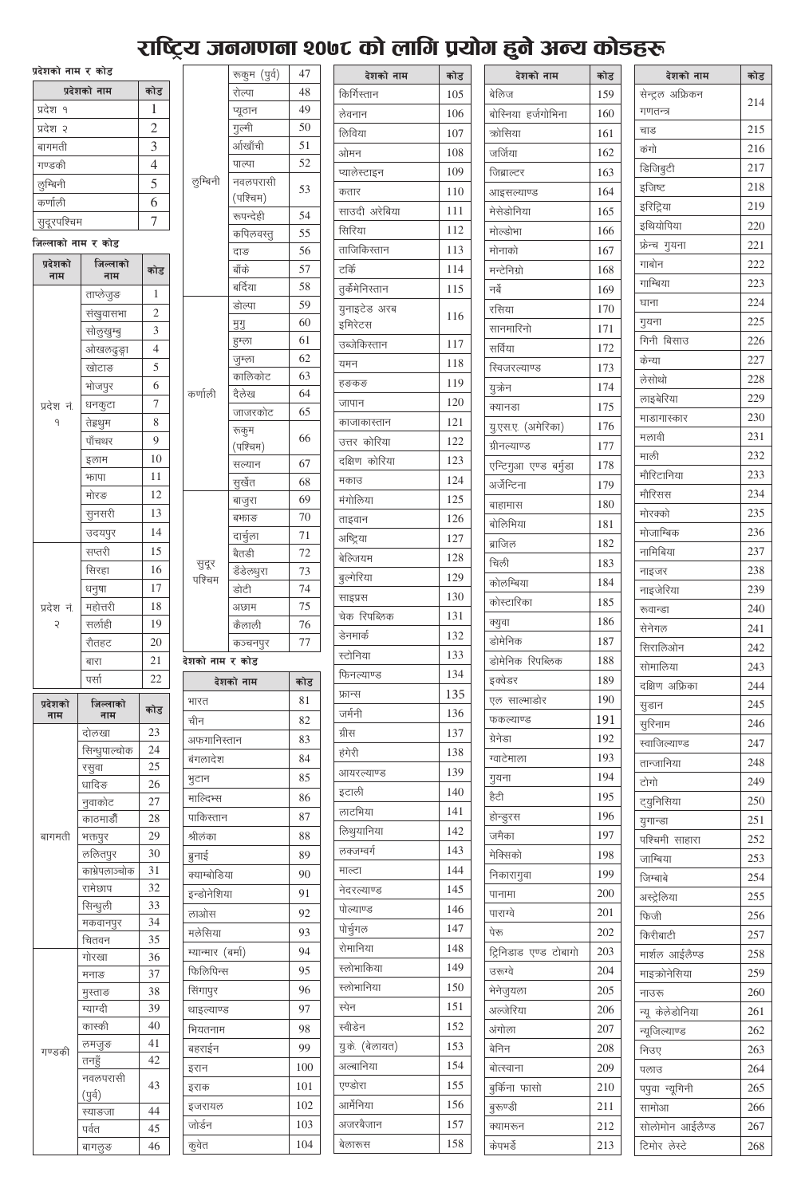# राष्ट्रिय जनगणना १०७८ को लागि प्रयोग हुने अन्य कोडहरू

| प्रदेशको नाम र कोड |                |  |
|--------------------|----------------|--|
| प्रदेशको नाम       | कोड            |  |
| प्रदेश १           | 1              |  |
| प्रदेश २           | $\overline{2}$ |  |
| बागमती             | 3              |  |
| गण्डकी             | $\overline{4}$ |  |
| लुम्बिनी           | 5              |  |
| कर्णाली            | 6              |  |
| सुदूरपश्चिम        |                |  |

#### को नाम र कोड

| प्रदेशको<br>नाम | जिल्लाको<br>नाम    | कोड            |
|-----------------|--------------------|----------------|
|                 | ताप्लेजुङ          | 1              |
|                 | संखुवासभा          | $\overline{c}$ |
|                 | सोलुखुम्बु         | 3              |
|                 | ओखलढुङ्गा          | $\overline{4}$ |
|                 | खोटाङ              | 5              |
|                 | भोजपुर             | 6              |
| प्रदेश नं.      | धनकुटा             | 7              |
| 9               | तेह्रथुम           | 8              |
|                 | पाँचथर             | 9              |
|                 | इलाम               | 10             |
|                 | फापा               | 11             |
|                 | मोरङ               | 12             |
|                 | सुनसरी             | 13             |
|                 | उदयपुर             | 14             |
|                 | सप्तरी             | 15             |
|                 | सिरहा              | 16             |
|                 | धनुषा              | 17             |
| प्रदेश नं.      | महोत्तरी           | 18             |
| $\mathcal{L}$   | सर्लाही            | 19             |
|                 | रौतहट              | 20             |
|                 | बारा               | 21             |
|                 | पर्सा              | 22             |
| प्रदेशको        | जिल्लाको           |                |
| नाम             | नाम                | कोड            |
|                 | दोलखा              | 23             |
|                 | सिन्धुपाल्चोक      | 24             |
|                 | रसुवा              | 25             |
|                 | धादिङ              | 26             |
|                 | नुवाकोट            | 27             |
|                 | काठमाडौँ           | 28             |
| बागमती          | भक्तपुर            | 29             |
|                 | ललितपुर            | 30             |
|                 | काभ्रेपलाञ्चोक     | 31             |
|                 | रामेछाप            | 32             |
|                 | सिन्धुली           | 33             |
|                 | मकवानपुर           | 34             |
|                 | चितवन              | 35             |
|                 | गोरखा              | 36             |
|                 | मनाङ               | 37<br>38       |
|                 | मुस्ताङ            | 39             |
|                 | म्याग्दी<br>कास्की | 40             |
|                 | लमजुङ              | 41             |
| गण्डकी          | तनहूँ              | 42             |
|                 | नवलपरासी           | 43             |
|                 | (पुर्व)            | 44             |
|                 | स्याङजा<br>पर्वत   | 45             |

|                                      | रूकुम (पुर्व)     | 47         |
|--------------------------------------|-------------------|------------|
|                                      | रोल्पा            | 48         |
|                                      | प्यूठान           | 49         |
|                                      | गुल्मी            | 50         |
|                                      | र्आखाँची          | 51         |
|                                      | पाल्पा            | 52         |
| लुम्बिनी                             | नवलपरासी          | 53         |
|                                      | (पश्चिम)          |            |
|                                      | रूपन्देही         | 54         |
|                                      | कपिलवस्तू         | 55         |
|                                      | दाङ               | 56         |
|                                      | बॉके              | 57         |
|                                      | बर्दिया           | 58         |
|                                      | डोल्पा            | 59         |
|                                      | मुगु              | 60         |
|                                      | हुम्ला            | 61         |
|                                      | जुम्ला            | 62         |
| कर्णाली                              | कालिकोट           | 63         |
|                                      | दैलेख             | 64         |
|                                      | जाजरकोट           | 65         |
|                                      | रूकुम<br>(पश्चिम) | 66         |
|                                      | सल्यान            | 67         |
|                                      | सुर्खेत           | 68         |
|                                      | बाजुरा            | 69         |
|                                      | बफाङ              | 70         |
|                                      | दार्चुला          | 71         |
|                                      | बैतडी             | 72         |
| सुदूर                                |                   | 73         |
| पश्चिम                               | डँडेल <u>धुरा</u> | 74         |
|                                      | डोटी              |            |
|                                      | अछाम              | 75         |
|                                      |                   |            |
|                                      | कैलाली            | 76         |
|                                      | कञ्चनपुर          | 77         |
|                                      |                   |            |
|                                      | देशको नाम         | कोड        |
|                                      |                   | 81         |
| चीन                                  |                   | 82         |
| शको नाम र कोड<br>भारत<br>अफगानिस्तान |                   | 83         |
| बंगलादेश                             |                   | 84         |
| भुटान                                |                   | 85         |
| माल्दिभ्स                            |                   | 86         |
| पाकिस्तान                            |                   | 87         |
| श्रीलंका                             |                   | 88         |
| ब्रुनाई                              |                   | 89         |
| क्याम्बोडिया                         |                   | 90         |
| इन्डोनेशिया                          |                   | 91         |
| लाओस                                 |                   | 92         |
| मलेसिया                              |                   | 93         |
| म्यान्मार (बर्मा)                    |                   | 94         |
|                                      |                   | 95         |
| फिलिपिन्स<br>सिंगापुर                |                   | 96         |
|                                      |                   | 97         |
| थाइल्याण्ड                           |                   |            |
| भियतनाम                              |                   | 98         |
| बहराईन                               |                   | 99         |
| इरान                                 |                   | 100        |
| इराक                                 |                   | 101        |
| इजरायल                               |                   | 102        |
| जोर्डन<br>कूवेत                      |                   | 103<br>104 |

| देशको नाम               | कोड |
|-------------------------|-----|
| किर्गिस्तान             | 105 |
| लेवनान                  | 106 |
| लिविया                  | 107 |
| ओमन                     | 108 |
| प्यालेस्टाइन            | 109 |
| कतार                    | 110 |
| साउदी अरेबिया           | 111 |
| सिरिया                  | 112 |
| ताजिकिस्तान             | 113 |
| टकिं                    | 114 |
| तुर्कमेनिस्तान          | 115 |
| युनाइटेड अरब<br>इमिरेटस | 116 |
| उब्जेकिस्तान            | 117 |
| यमन                     | 118 |
| हङकङ                    | 119 |
| जापान                   | 120 |
| काजाकास्तान             | 121 |
| उत्तर कोरिया            | 122 |
| दक्षिण कोरिया           | 123 |
| मकाउ                    | 124 |
| मंगोलिया                | 125 |
| ताइवान                  | 126 |
| अष्ट्रिया               | 127 |
| बेल्जियम                | 128 |
| बल्गेरिया               | 129 |
| साइप्रस                 | 130 |
| चेक रिपब्लिक            | 131 |
| डेनमार्क                | 132 |
| स्टोनिया                | 133 |
| फिनल्याण्ड              | 134 |
|                         | 135 |
| फ्रान्स<br>जर्मनी       | 136 |
|                         |     |
| ग्रीस                   | 137 |
| हंगेरी                  | 138 |
| आयरल्याण्ड              | 139 |
| इटाली                   | 140 |
| लाटभिया                 | 141 |
| लिथुयानिया              | 142 |
| लक्जम्वर्ग              | 143 |
| माल्टा                  | 144 |
| नेदरल्याण्ड             | 145 |
| पोल्याण्ड               | 146 |
| पोर्चुगल                | 147 |
| रोमानिया                | 148 |
| स्लोभाकिया              | 149 |
| स्लोभानिया              | 150 |
| स्पेन                   | 151 |
| स्वीडेन                 | 152 |
| युके (बेलायत)           | 153 |
| अल्बानिया               | 154 |
| एण्डोरा                 | 155 |
| आर्मेनिया               | 156 |
| अजरबैजान                | 157 |
| बेलारूस                 | 158 |

| देशको नाम             | कोड |
|-----------------------|-----|
| बेलिज                 | 159 |
| बोस्निया हर्जगोभिना   | 160 |
| क्रोसिया              | 161 |
| जर्जिया               | 162 |
| जिब्राल्टर            | 163 |
| आइसल्याण्ड            | 164 |
| मेसेडोनिया            | 165 |
| मोल्डोभा              | 166 |
| मोनाको                | 167 |
| मन्टेनिग्रो           | 168 |
| नर्वे                 | 169 |
| रसिया                 | 170 |
| सानमारिनो             | 171 |
| सर्विया               | 172 |
| रिवजरल्याण्ड          | 173 |
| युक्रेन               | 174 |
| क्यानडा               | 175 |
| यु.एस.ए. (अमेरिका)    | 176 |
| ग्रीनल्याण्ड          | 177 |
| एन्टिगुआ एण्ड बर्मुडा | 178 |
| अर्जेन्टिना           | 179 |
| बाहामास               | 180 |
| बोलिभिया              | 181 |
| ब्राजिल               | 182 |
| चिली                  | 183 |
| कोलम्बिया             | 184 |
| कोस्टारिका            | 185 |
| क्युवा                | 186 |
| डोमेनिक               | 187 |
| डोमेनिक रिपब्लिक      | 188 |
| इक्वेडर               | 189 |
| एल साल्भाडोर          | 190 |
| फकल्याण्ड             | 191 |
| ग्रेनेडा              | 192 |
| ग्वाटेमाला            | 193 |
| गुयना                 | 194 |
| हैटी                  | 195 |
| होन्डुरस              | 196 |
| जमैका                 | 197 |
| मेक्सिको              | 198 |
| निकारागुवा            | 199 |
| पानामा                | 200 |
| पाराग्वे              | 201 |
| पेरू                  | 202 |
| ट्रिनिडाड एण्ड टोबागो | 203 |
| उरूग्वे               | 204 |
| भेनेजुयला             | 205 |
| अल्जेरिया             | 206 |
| अंगोला                | 207 |
| बेनिन                 | 208 |
| बोत्स्वाना            | 209 |
| बुर्किना फासो         | 210 |
| बुरुण्डी              | 211 |
| क्यामरून              | 212 |
| केपभर्डे              | 213 |

| देशको नाम        | कोड |
|------------------|-----|
| सेन्ट्रल अफ्रिकन | 214 |
| गणतन्त्र         |     |
| चाड              | 215 |
| कंगो             | 216 |
| डिजिबुटी         | 217 |
| इजिष्ट           | 218 |
| इरिट्रिया        | 219 |
| इथियोपिया        | 220 |
| फ्रेन्च गुयना    | 221 |
| गाबोन            | 222 |
| गाम्बिया         | 223 |
| घाना             | 224 |
| गुयना            | 225 |
| गिनी बिसाउ       | 226 |
| केन्या           | 227 |
| लेसोथो           | 228 |
| लाइबेरिया        | 229 |
| माडागास्कार      | 230 |
| मलावी            | 231 |
| माली             | 232 |
| मौरिटानिया       | 233 |
| मौरिसस           | 234 |
| मोरक्को          | 235 |
| मोजाम्बिक        | 236 |
| नामिबिया         | 237 |
| नाइजर            | 238 |
| नाइजेरिया        | 239 |
| रूवान्डा         | 240 |
| सेनेगल           | 241 |
| सिरालिओन         | 242 |
| सोमालिया         | 243 |
| दक्षिण अफ्रिका   | 244 |
| सुडान            | 245 |
| सुरिनाम          | 246 |
| स्वाजिल्याण्ड    | 247 |
| तान्जानिया       | 248 |
| टोगो             | 249 |
| ट्युनिसिया       | 250 |
| युगान्डा         | 251 |
| पश्चिमी साहारा   | 252 |
| जाम्बिया         | 253 |
| जिम्बाबे         | 254 |
| अस्ट्रेलिया      | 255 |
| फिजी             | 256 |
| किरीबाटी         | 257 |
| मार्शल आईलैण्ड   | 258 |
| माइक्रोनेसिया    | 259 |
| नाउरू            | 260 |
| न्यू केलेडोनिया  | 261 |
| न्यूजिल्याण्ड    | 262 |
| निउए             | 263 |
| पलाउ             | 264 |
| पपुवा न्यूगिनी   | 265 |
| सामोआ            | 266 |
| सोलोमोन आईलैण्ड  | 267 |
| टिमोर लेस्टे     | 268 |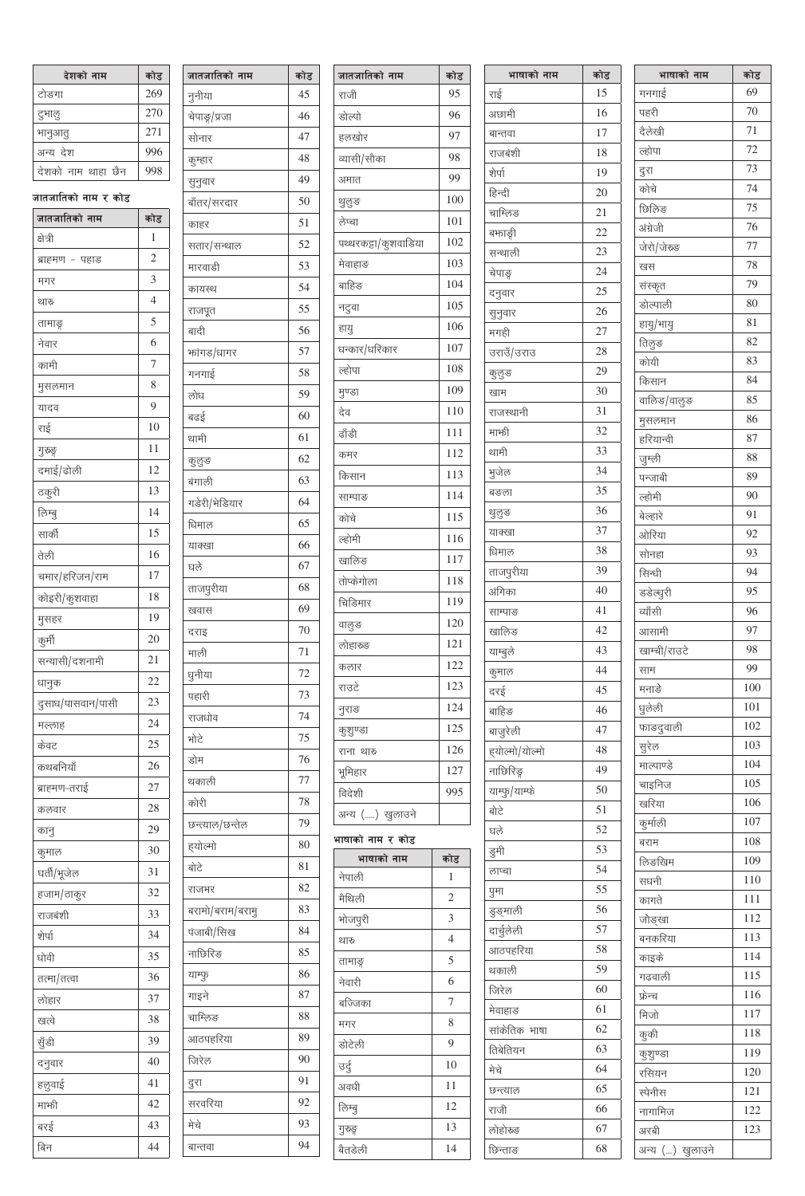| देशको नाम          | कोड |
|--------------------|-----|
| टोङगा              | 269 |
| टुभालु             | 270 |
| भानुआतु            | 271 |
| अन्य देश           | 996 |
| देशको नाम थाहा छैन | 998 |

| जातजातिको नाम<br>कोड<br>क्षेत्री<br>1<br>$\overline{c}$<br>ब्राह्मण - पहाड<br>3<br>मगर<br>$\overline{4}$<br>थारु<br>5<br>तामाङ्<br>6<br>नेवार<br>$\overline{7}$<br>कामी<br>8<br>मुसलमान<br>9<br>यादव<br>10<br>राई<br>11<br>गुरुङ्ग<br>दमाई/ढोली<br>12<br>13<br>ठकुरी<br>14<br>लिम्बु<br>15<br>सार्की<br>तेली<br>16<br>17<br>चमार/हरिजन/राम<br>18<br>कोइरी/कुशवाहा<br>19<br>मुसहर<br>20<br>कुर्मी<br>21<br>सन्यासी/दशनामी<br>22<br>धानुक<br>23<br>दुसाध/पासवान/पासी<br>24<br>मल्लाह<br>25<br>केवट<br>26<br>कथबनियाँ<br>27<br>ब्राह्मण-तराई<br>28<br>कलवार<br>29<br>कानु<br>30<br>कुमाल<br>31<br>घर्ती/भूजेल<br>32<br>हजाम/ठाकुर<br>33<br>राजबंशी<br>34<br>शेर्पा<br>35<br>धोवी<br>36<br>तत्मा/तत्वा<br>37<br>लोहार<br>38<br>खत्वे<br>39<br>सुँडी<br>40<br>दनुवार<br>हलुवाई<br>41<br>42<br>मार्भा<br>43<br>बरई<br>44<br>बिन | जातजातिको नाम र कोड |  |
|---------------------------------------------------------------------------------------------------------------------------------------------------------------------------------------------------------------------------------------------------------------------------------------------------------------------------------------------------------------------------------------------------------------------------------------------------------------------------------------------------------------------------------------------------------------------------------------------------------------------------------------------------------------------------------------------------------------------------------------------------------------------------------------------------------------------------|---------------------|--|
|                                                                                                                                                                                                                                                                                                                                                                                                                                                                                                                                                                                                                                                                                                                                                                                                                           |                     |  |
|                                                                                                                                                                                                                                                                                                                                                                                                                                                                                                                                                                                                                                                                                                                                                                                                                           |                     |  |
|                                                                                                                                                                                                                                                                                                                                                                                                                                                                                                                                                                                                                                                                                                                                                                                                                           |                     |  |
|                                                                                                                                                                                                                                                                                                                                                                                                                                                                                                                                                                                                                                                                                                                                                                                                                           |                     |  |
|                                                                                                                                                                                                                                                                                                                                                                                                                                                                                                                                                                                                                                                                                                                                                                                                                           |                     |  |
|                                                                                                                                                                                                                                                                                                                                                                                                                                                                                                                                                                                                                                                                                                                                                                                                                           |                     |  |
|                                                                                                                                                                                                                                                                                                                                                                                                                                                                                                                                                                                                                                                                                                                                                                                                                           |                     |  |
|                                                                                                                                                                                                                                                                                                                                                                                                                                                                                                                                                                                                                                                                                                                                                                                                                           |                     |  |
|                                                                                                                                                                                                                                                                                                                                                                                                                                                                                                                                                                                                                                                                                                                                                                                                                           |                     |  |
|                                                                                                                                                                                                                                                                                                                                                                                                                                                                                                                                                                                                                                                                                                                                                                                                                           |                     |  |
|                                                                                                                                                                                                                                                                                                                                                                                                                                                                                                                                                                                                                                                                                                                                                                                                                           |                     |  |
|                                                                                                                                                                                                                                                                                                                                                                                                                                                                                                                                                                                                                                                                                                                                                                                                                           |                     |  |
|                                                                                                                                                                                                                                                                                                                                                                                                                                                                                                                                                                                                                                                                                                                                                                                                                           |                     |  |
|                                                                                                                                                                                                                                                                                                                                                                                                                                                                                                                                                                                                                                                                                                                                                                                                                           |                     |  |
|                                                                                                                                                                                                                                                                                                                                                                                                                                                                                                                                                                                                                                                                                                                                                                                                                           |                     |  |
|                                                                                                                                                                                                                                                                                                                                                                                                                                                                                                                                                                                                                                                                                                                                                                                                                           |                     |  |
|                                                                                                                                                                                                                                                                                                                                                                                                                                                                                                                                                                                                                                                                                                                                                                                                                           |                     |  |
|                                                                                                                                                                                                                                                                                                                                                                                                                                                                                                                                                                                                                                                                                                                                                                                                                           |                     |  |
|                                                                                                                                                                                                                                                                                                                                                                                                                                                                                                                                                                                                                                                                                                                                                                                                                           |                     |  |
|                                                                                                                                                                                                                                                                                                                                                                                                                                                                                                                                                                                                                                                                                                                                                                                                                           |                     |  |
|                                                                                                                                                                                                                                                                                                                                                                                                                                                                                                                                                                                                                                                                                                                                                                                                                           |                     |  |
|                                                                                                                                                                                                                                                                                                                                                                                                                                                                                                                                                                                                                                                                                                                                                                                                                           |                     |  |
|                                                                                                                                                                                                                                                                                                                                                                                                                                                                                                                                                                                                                                                                                                                                                                                                                           |                     |  |
|                                                                                                                                                                                                                                                                                                                                                                                                                                                                                                                                                                                                                                                                                                                                                                                                                           |                     |  |
|                                                                                                                                                                                                                                                                                                                                                                                                                                                                                                                                                                                                                                                                                                                                                                                                                           |                     |  |
|                                                                                                                                                                                                                                                                                                                                                                                                                                                                                                                                                                                                                                                                                                                                                                                                                           |                     |  |
|                                                                                                                                                                                                                                                                                                                                                                                                                                                                                                                                                                                                                                                                                                                                                                                                                           |                     |  |
|                                                                                                                                                                                                                                                                                                                                                                                                                                                                                                                                                                                                                                                                                                                                                                                                                           |                     |  |
|                                                                                                                                                                                                                                                                                                                                                                                                                                                                                                                                                                                                                                                                                                                                                                                                                           |                     |  |
|                                                                                                                                                                                                                                                                                                                                                                                                                                                                                                                                                                                                                                                                                                                                                                                                                           |                     |  |
|                                                                                                                                                                                                                                                                                                                                                                                                                                                                                                                                                                                                                                                                                                                                                                                                                           |                     |  |
|                                                                                                                                                                                                                                                                                                                                                                                                                                                                                                                                                                                                                                                                                                                                                                                                                           |                     |  |
|                                                                                                                                                                                                                                                                                                                                                                                                                                                                                                                                                                                                                                                                                                                                                                                                                           |                     |  |
|                                                                                                                                                                                                                                                                                                                                                                                                                                                                                                                                                                                                                                                                                                                                                                                                                           |                     |  |
|                                                                                                                                                                                                                                                                                                                                                                                                                                                                                                                                                                                                                                                                                                                                                                                                                           |                     |  |
|                                                                                                                                                                                                                                                                                                                                                                                                                                                                                                                                                                                                                                                                                                                                                                                                                           |                     |  |
|                                                                                                                                                                                                                                                                                                                                                                                                                                                                                                                                                                                                                                                                                                                                                                                                                           |                     |  |
|                                                                                                                                                                                                                                                                                                                                                                                                                                                                                                                                                                                                                                                                                                                                                                                                                           |                     |  |
|                                                                                                                                                                                                                                                                                                                                                                                                                                                                                                                                                                                                                                                                                                                                                                                                                           |                     |  |
|                                                                                                                                                                                                                                                                                                                                                                                                                                                                                                                                                                                                                                                                                                                                                                                                                           |                     |  |
|                                                                                                                                                                                                                                                                                                                                                                                                                                                                                                                                                                                                                                                                                                                                                                                                                           |                     |  |
|                                                                                                                                                                                                                                                                                                                                                                                                                                                                                                                                                                                                                                                                                                                                                                                                                           |                     |  |
|                                                                                                                                                                                                                                                                                                                                                                                                                                                                                                                                                                                                                                                                                                                                                                                                                           |                     |  |
|                                                                                                                                                                                                                                                                                                                                                                                                                                                                                                                                                                                                                                                                                                                                                                                                                           |                     |  |
|                                                                                                                                                                                                                                                                                                                                                                                                                                                                                                                                                                                                                                                                                                                                                                                                                           |                     |  |

| नातजातिक <mark>ो</mark> नाम    | कोड |
|--------------------------------|-----|
| नुनीया                         | 45  |
| वेपाङ्ग/प्रज <mark>ा</mark>    | 46  |
| सोनार                          | 47  |
| कुम्हार                        | 48  |
| सुनुवार                        | 49  |
| <mark>ऑंतर/सरदार</mark>        | 50  |
| काहर                           | 51  |
| सतार/सन्थाल                    | 52  |
| मारवाडी                        | 53  |
| कायस्थ                         | 54  |
| राजपूत                         | 55  |
| बादी                           | 56  |
| फांगड/धागर                     | 57  |
| गनगाई                          | 58  |
| लोध                            | 59  |
| बढई                            | 60  |
| थामी                           | 61  |
| कुलुङ                          | 62  |
| बंगाली                         | 63  |
| गडेरी/ <mark>भेडियार</mark>    | 64  |
| धेमाल                          | 65  |
| याक्खा                         | 66  |
| घले                            | 67  |
| ताजपुरीया                      | 68  |
| खवास                           | 69  |
| दराइ                           | 70  |
| माली                           | 71  |
| धुनीया                         | 72  |
| पहारी                          | 73  |
| राजधोव                         | 74  |
| मोटे                           | 75  |
| डोम                            | 76  |
| थकाली                          | 77  |
| कोरी                           | 78  |
| छन्त्याल/छन्तेल                | 79  |
| इयोल्मो                        | 80  |
| बोटे                           | 81  |
| राजभर                          | 82  |
| बरामो/बराम/बरा <mark>मु</mark> | 83  |
| पंजाबी/सिख                     | 84  |
| नाछिरिङ                        | 85  |
| याम्फु                         | 86  |
| गाइने                          | 87  |
| वाम्लिङ                        | 88  |
| आठपहरिया                       | 89  |
| जेरेल                          | 90  |
| दुरा                           | 91  |
| सरवरिया                        | 92  |
| मेचे                           | 93  |
| बान्तवा                        | 94  |

| जातजातिको नाम        | कोड            |
|----------------------|----------------|
| राजी                 | 95             |
| डोल्पो               | 96             |
| हलखोर                | 97             |
| व्यासी/सौका          | 98             |
| अमात                 | 99             |
| थुलुङ                | 100            |
| लेप्चा               | 101            |
| पथ्थरकट्टा/कुशवाडिया | 102            |
| मेवाहाङ              | 103            |
| बाहिङ                | 104            |
| नटुवा                | 105            |
| हायु                 | 106            |
| धन्कार/धरिकार        | 107            |
| ल्होपा               | 108            |
| मुण्डा               | 109            |
| देव                  | 110            |
| ढाँडी                | 111            |
| कमर                  | 112            |
| किसान                | 113            |
| साम्पाङ              | 114            |
| कोचे                 | 115            |
| ल्होमी               | 116            |
| खालिङ                | 117            |
| तोप्केगोला           | 118            |
| चिडिमार              | 119            |
| वालुङ                | 120            |
| लोहारूङ              | 121            |
| कलार                 | 122            |
| राउटे                | 123            |
| नुराङ                | 124            |
| कुशुण्डा             | 125            |
| राना थारु            | 126            |
| भूमिहार              | 127            |
| विदेशी               | 995            |
| अन्य () खुलाउने      |                |
| भाषाको नाम र कोड     |                |
| भाषाको नाम           | कोड            |
| नेपाली               | 1              |
| मैथिली               | $\overline{c}$ |
| भोजपुरी              | 3              |
| थारु                 | $\overline{4}$ |
| तामाङ्ग              | 5              |
| नेवारी               | 6              |
| बज्जिका              | 7              |
| मगर                  | 8              |
| डोटेली               | 9              |
| उर्दु                | 10             |
| अवधी                 | 11             |
| लिम्बू               | 12             |
| गुरुङ्ग              | 13             |
| <u> ਡੈਰ.ਟੇਡੀ</u>     | 14             |

| भाषाको नाम                   | कोड      |
|------------------------------|----------|
| राई                          | 15       |
| अछामी                        | 16       |
| बान्तवा                      | 17       |
| राजबंशी                      | 18       |
| शेर्पा                       | 19       |
| हिन्दी                       | 20       |
| वाम्लिङ                      | 21       |
| बभगङ्गी                      | 22       |
| सन्थाली                      | 23       |
| चेपाङ्ग                      | 24       |
| दनुवार                       | 25       |
| सुनुवार                      | 26       |
| मगही                         | 27       |
| उराउँ/उराउ                   | 28       |
|                              | 29       |
| कुलुङ                        | 30       |
| खाम                          | 31       |
| राजस्थानी                    | 32       |
| मार्भा                       |          |
| थामी                         | 33<br>34 |
| भुजेल<br>—                   |          |
| बङला                         | 35       |
| थुलुङ                        | 36       |
| याक्खा                       | 37       |
| धिमाल                        | 38       |
| ताजपुरीया                    | 39       |
| अंगिका                       | 40       |
| साम्पाङ                      | 41       |
| खालिङ                        | 42       |
| याम्बुले                     | 43       |
| कुमाल                        | 44       |
| दरई                          | 45       |
| बाहिङ                        | 46       |
| बाजुरेली                     | 47       |
| इयोल्मो/योल्म <mark>ो</mark> | 48       |
| नाछिरिङ्ग                    | 49       |
| याम्फु/याम्फे                | 50       |
| बोटे                         | 51       |
| घले                          | 52       |
| डुमी                         | 53       |
| लाप्चा                       | 54       |
| पुमा                         | 55       |
| डुङ्माली                     | 56       |
| दार्चुलेली                   | 57       |
| आठपहरिया                     | 58       |
| थकाली                        | 59       |
| जिरेल                        | 60       |
| मेवाहाङ                      | 61       |
| सांकेतिक भा <mark>षा</mark>  | 62       |
| तिबेतियन                     | 63       |
| मेचे                         | 64       |
| छन्त्याल                     | 65       |
| राजी                         | 66       |
| लोहोरुङ                      | 67       |
|                              | 68       |
| छिन्ताङ                      |          |

| भाषाको नाम         | कोड |
|--------------------|-----|
| गनगाई              | 69  |
| पहरी               | 70  |
| दैलेखी             | 71  |
| ल्होपा             | 72  |
| दुरा               | 73  |
| कोचे               | 74  |
| छिलिङ              | 75  |
| अंग्रेजी           | 76  |
| जेरो/जेरुङ         | 77  |
| खस                 | 78  |
| संस्कृत            | 79  |
| डोल्पाली           | 80  |
|                    | 81  |
| हायु/भायु          | 82  |
| तिलुङ<br>कोयी      | 83  |
|                    |     |
| किसान              | 84  |
| वालिङ/वालुङ        | 85  |
| मुसलमान            | 86  |
| हरियान्वी          | 87  |
| जु़म्ली            | 88  |
| पन्जाबी            | 89  |
| ल्होमी             | 90  |
| बेल्हारे           | 91  |
| ओरिया              | 92  |
| सोनहा              | 93  |
| सिन्धी             | 94  |
| डडेल्धुरी          | 95  |
| व्यॉसी             | 96  |
| आसामी              | 97  |
| खाम्ची/राउटे       | 98  |
| साम                | 99  |
| मनाङे              | 100 |
| धुलेली             | 101 |
| फाङदुवाली          | 102 |
| सुरेल              | 103 |
| माल्पाण्डे         | 104 |
| चाइनिज             | 105 |
| खरिया              | 106 |
|                    | 107 |
| कुर्माली           | 108 |
| बराम               | 109 |
| लिङखिम             |     |
| सधनी               | 110 |
| कागते              | 111 |
| जोङ्खा             | 112 |
| बनकरिया            | 113 |
| काइके              | 114 |
| गढवाली             | 115 |
| फ्रेन्च            | 116 |
| मिजो               | 117 |
| कुकी               | 118 |
| कुशुण्डा           | 119 |
| रसियन              | 120 |
| स्पेनीस            | 121 |
| नागामिज            | 122 |
| अरबी               | 123 |
| () खुलाउने<br>अन्य |     |
|                    |     |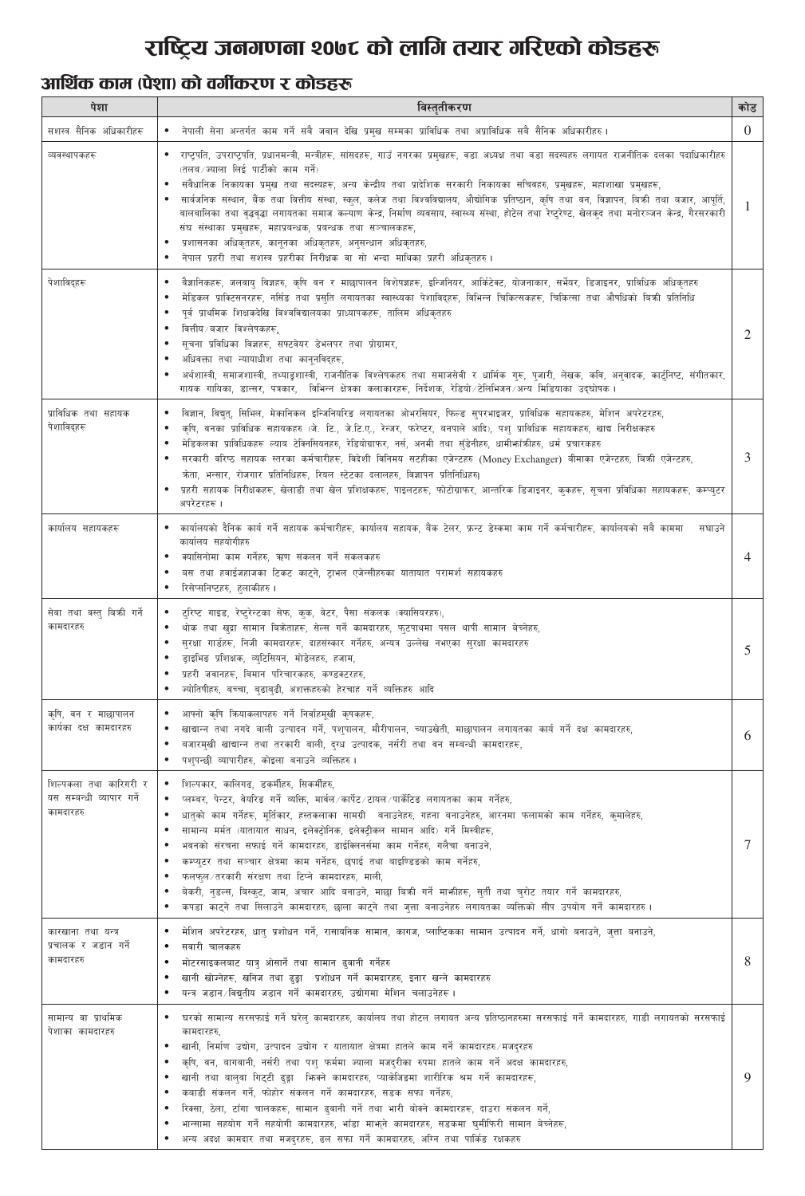# राष्ट्रिय जनगणना २०७८ को लागि तयार गरिएको कोडहरू

### आर्थिक काम (पेशा) को वर्गीकरण र कोडहरू

| पेशा                                                             | विस्तृतीकरण                                                                                                                                                                                                                                                                                                                                                                                                                                                                                                                                                                                                                                                                                                                                                                                                                                               | कोड      |
|------------------------------------------------------------------|-----------------------------------------------------------------------------------------------------------------------------------------------------------------------------------------------------------------------------------------------------------------------------------------------------------------------------------------------------------------------------------------------------------------------------------------------------------------------------------------------------------------------------------------------------------------------------------------------------------------------------------------------------------------------------------------------------------------------------------------------------------------------------------------------------------------------------------------------------------|----------|
| सशस्त्र सैनिक अधिकारीहरू                                         | नेपाली सेना अन्तर्गत काम गर्ने सबै जवान देखि प्रमुख सम्मका प्राविधिक तथा अप्राविधिक सबै सैनिक अधिकारीहरु ।<br>$\bullet$                                                                                                                                                                                                                                                                                                                                                                                                                                                                                                                                                                                                                                                                                                                                   | $\Omega$ |
| व्यवस्थापकहरू                                                    | राष्ट्रपति, उपराष्ट्रपति, प्रधानमन्त्री, मन्त्रीहरू, सांसदहरू, गाउँ नगरका प्रमुखहरू, वडा अध्यक्ष तथा वडा सदस्यहरु लगायत राजनीतिक दलका पदाधिकारीहरु<br>(तलब ज्याला लिई पार्टीको काम गर्ने)<br>संवैधानिक निकायका प्रमुख तथा सदस्यहरू, अन्य केन्द्रीय तथा प्रादेशिक सरकारी निकायका सचिवहरु, प्रमुखहरू, महाशाखा प्रमुखहरू,<br>सार्वजनिक संस्थान, बैंक तथा वित्तीय संस्था, स्कूल, कलेज तथा विश्वविद्यालय, औद्योगिक प्रतिष्ठान, कृषि तथा वन, विज्ञापन, बिक्री तथा बजार, आपूर्ति,<br>बालबालिका तथा वृद्धवृद्धा लगायतका समाज कल्याण केन्द्र, निर्माण व्यवसाय, स्वास्थ्य संस्था, होटेल तथा रेष्ट्रेण्ट, खेलकुद तथा मनोरञ्जन केन्द्र, गैरसरकारी<br>संघ संस्थाका प्रमुखहरू, महाप्रबन्धक, प्रबन्धक तथा सञ्चालकहरू,<br>प्रशासनका अधिकृतहरु, कानूनका अधिकृतहरु, अनुसन्धान अधिकृतहरु,<br>नेपाल प्रहरी तथा सशस्त्र प्रहरीका निरीक्षक वा सो भन्दा माथिका प्रहरी अधिकृतहरु। |          |
| पेशाविदहरू                                                       | वैज्ञानिकहरू, जलवायु विज्ञहरु, कृषि वन र माछापालन विशेषज्ञहरू, इन्जिनियर, आर्किटेक्ट, योजनाकार, सर्भेयर, डिजाइनर, प्राविधिक अधिकृतहरु<br>$\bullet$<br>मेडिकल प्राक्टिसनरहरू, नर्सिङ तथा प्रस् <b>ति लगायतका स्वास्थ्यका पेशाविद्</b> हरू, विभिन्न चिकित्सकहरू, चिकित्सा तथा औषधिको बिकी प्रतिनिधि<br>पूर्व प्राथमिक शिक्षकदेखि विश्वविद्यालयका प्राध्यापकहरू, तालिम अधिकृतहरु<br>वित्तीय / बजार विश्लेषकहरू.<br>सूचना प्रविधिका विज्ञहरू, सफ्टवेयर डेभलपर तथा प्रोग्रामर,<br>अधिवक्ता तथा न्यायाधीश तथा कानुनविद्हरू,<br>अर्थशास्त्री, समाजशास्त्री, तथ्याङुशास्त्री, राजनीतिक विश्लेषकहरु तथा समाजसेवी र धार्मिक गुरू, पूजारी, लेखक, कवि, अनुवादक, कार्टुनिष्ट, संगीतकार,<br>गायक गायिका, डान्सर, पत्रकार,  विभिन्न क्षेत्रका कलाकारहरू, निर्देशक, रेडियो ∕टेलिभिजन ∕अन्य मिडियाका उद्घोषक ।                                                             |          |
| प्राविधिक तथा सहायक<br>पेशाविद्हरू                               | विज्ञान, विद्युत्, सिभिल, मेकानिकल इन्जिनियरिङ लगायतका ओभरसियर, फिल्ड सुपरभाइजर, प्राविधिक सहायकहरु, मेशिन अपरेटरहरु,<br>$\bullet$<br>कपि, वनका प्राविधिक सहायकहरु (जे. टि., जे.टि.ए., रेन्जर, फरेप्टर, बनपाले आदि), पशु प्राविधिक सहायकहरु, खाद्य निरीक्षकहरु<br>मेडिकलका प्राविधिकहरू ल्याब टेक्निसियनहरु, रेडियोग्राफर, नर्स, अनमी तथा सुँडेनीहरु, धामीफाँकीहरु, धर्म प्रचारकहरु<br>सरकारी वरिष्ठ सहायक स्तरका कर्मचारीहरू, विदेशी विनिमय सटहीका एजेन्टहरु (Money Exchanger) बीमाका एजेन्टहरु, बिकी एजेन्टहरु,<br>केता, भन्सार, रोजगार प्रतिनिधिहरू, रियल स्टेटका दलालहरु, विज्ञापन प्रतिनिधिहरु।<br>प्रहरी सहायक निरीक्षकहरू, खेलाडी तथा खेल प्रशिक्षकहरू, पाइलटहरू, फोटोग्राफर, आन्तरिक डिजाइनर, कुकहरू, सूचना प्रविधिका सहायकहरू, कम्प्युटर<br>अपरेटरहरू ।                                                                                          | 3        |
| कार्यालय सहायकहरू                                                | कार्यालयको दैनिक कार्य गर्ने सहायक कर्मचारीहरू, कार्यालय सहायक, बैंक टेलर, फ्रन्ट डेस्कमा काम गर्ने कर्मचारीहरू, कार्यालयको सबै काममा<br>सघाउने<br>$\bullet$<br>कार्यालय सहयोगीहरु<br>क्यासिनोमा काम गर्नेहरु, ऋण संकलन गर्ने संकलकहरु<br>बस तथा हवाईजहाजका टिकट काट्ने, ट्राभल एजेन्सीहरुका यातायात परामर्श सहायकहरु<br>रिसेप्सनिष्टहरु, हलाकीहरु ।                                                                                                                                                                                                                                                                                                                                                                                                                                                                                                      |          |
| सेवा तथा वस्तु बिक्री गर्ने<br>कामदारहरु                         | ● टुरिष्ट गाइड, रेष्टुरेन्टका सेफ, कुक, वेटर, पैसा संकलक (क्यासियरहरु),<br>थोक तथा खुद्रा सामान बिक्रेताहरू, सेल्स गर्ने कामदारहरु, फुटपाथमा पसल थापी सामान बेच्नेहरु,<br>सुरक्षा गार्डहरू, निजी कामदारहरू, दाहसंस्कार गर्नेहरु, अन्यत्र उल्लेख नभएका सुरक्षा कामदारहरु<br>ड्राइभिङ प्रशिक्षक, व्युटिसियन, मोडेलहरु, हजाम,<br>प्रहरी जवानहरू, बिमान परिचारकहरु, कण्डक्टरहरु,<br>ज्योतिषीहरु, बच्चा, बुढाबुढी, अशक्तहरुको हेरचाह गर्ने व्यक्तिहरु आदि                                                                                                                                                                                                                                                                                                                                                                                                      | 5        |
| कृषि, वन र माछापालन<br>कार्यका दक्ष कामदारहरु                    | आफ्नो कृषि क्रियाकलापहरु गर्ने निर्वाहमूखी कृषकहरू,<br>$\bullet$<br>खाद्यान्न तथा नगदे बाली उत्पादन गर्ने, पशुपालन, मौरीपालन, च्याउखेती, माछापालन लगायतका कार्य गर्ने दक्ष कामदारहरु,<br>बजारमुखी खाद्यान्न तथा तरकारी बाली, दुग्ध उत्पादक, नर्सरी तथा वन सम्बन्धी कामदारहरू,<br>पशुपन्छी व्यापारीहरु, कोइला बनाउने व्यक्तिहरु।                                                                                                                                                                                                                                                                                                                                                                                                                                                                                                                           | 6        |
| शिल्पकला तथा कारिगरी र<br>यस सम्बन्धी व्यापार गर्ने<br>कामदारहरु | शिल्पकार, कालिगढ, डकर्मीहरु, सिकर्मीहरु,<br>$\bullet$<br>प्लम्बर, पेन्टर, वेयरिङ गर्ने व्यक्ति, मार्वल ∕कार्पेट ∕टायल ∕पार्केटिङ लगायतका काम गर्नेहरु,<br>धातुको काम गर्नेहरू, मूर्तिकार, हस्तकलाका सामग्री  बनाउनेहरु, गहना बनाउनेहरु, आरनमा फलामको काम गर्नेहरु, कुमालेहरु,<br>सामान्य मर्मत (यातायात साधन, इलेक्ट्रोनिक, इलेक्ट्रीकल सामान आदि) गर्ने मिस्त्रीहरू,<br>भवनको संरचना सफाई गर्ने कामदारहरु, डाईक्लिनर्समा काम गर्नेहरु, गलैचा बनाउने,<br>कम्प्युटर तथा सञ्चार क्षेत्रमा काम गर्नेहरु, छपाई तथा बाइण्डिङको काम गर्नेहरु,<br>फलफुल/तरकारी संरक्षण तथा टिप्ने कामदारहरु, माली,<br>बेकरी, नुडल्स, बिस्कुट, जाम, अचार आदि बनाउने, माछा बिक्री गर्ने माभीहरू, सुर्ती तथा चुरोट तयार गर्ने कामदारहरु,<br>कपडा काट्ने तथा सिलाउने कामदारहरु, छाला काट्ने तथा जुत्ता बनाउनेहरु लगायतका व्यक्तिको सीप उपयोग गर्ने कामदारहरु।                        |          |
| कारखाना तथा यन्त्र<br>प्रचालक र जडान गर्ने<br>कामदारहरु          | मेशिन अपरेटरहरु, धातु प्रशोधन गर्ने, रासायनिक सामान, कागज, प्लाप्टिकका सामान उत्पादन गर्ने, धागो बनाउने, जुत्ता बनाउने,<br>सवारी चालकहरु<br>मोटरसाइकलबाट यात्रु ओसार्ने तथा सामान ढुवानी गर्नेहरु<br>खानी खोज्नेहरू, खनिज तथा ढुङ्गा प्रशोधन गर्ने कामदारहरु, इनार खन्ने कामदारहरु<br>यन्त्र जडान /विद्युतीय जडान गर्ने कामदारहरु, उद्योगमा मेशिन चलाउनेहरू।                                                                                                                                                                                                                                                                                                                                                                                                                                                                                              | 8        |
| सामान्य वा प्राथमिक<br>पेशाका कामदारहरु                          | घरको सामान्य सरसफाई गर्ने घरेलु कामदारहरु, कार्यालय तथा होटल लगायत अन्य प्रतिष्ठानहरुमा सरसफाई गर्ने कामदारहरु, गाडी लगायतको सरसफाई<br>कामदारहरु,<br>खानी, निर्माण उद्योग, उत्पादन उद्योग र यातायात क्षेत्रमा हातले काम गर्ने कामदारहरु मजद्रहरु<br>कृषि, वन, बागवानी, नर्सरी तथा पशु फर्ममा ज्याला मजदुरीका रुपमा हातले काम गर्ने अदक्ष कामदारहरु,<br>खानी तथा बालुवा गिट्टी ढुड्गा फिक्ने कामदारहरु, प्याकेजिडमा शारीरिक श्रम गर्ने कामदारहरू,<br>कबाडी संकलन गर्ने, फोहोर संकलन गर्ने कामदारहरु, सडक सफा गर्नेहरु,<br>रिक्सा, ठेला, टाँगा चालकहरू, सामान ढुवानी गर्ने तथा भारी बोक्ने कामदारहरू, दाउरा संकलन गर्ने,<br>भान्सामा सहयोग गर्ने सहयोगी कामदारहरु, भाँडा मार्भूने कामदारहरु, सडकमा घुमीफिरी सामान बेच्नेहरू,<br>अन्य अदक्ष कामदार तथा मजदुरहरू, ढल सफा गर्ने कामदारहरु, अग्नि तथा पार्किङ रक्षकहरु                                          | Q        |